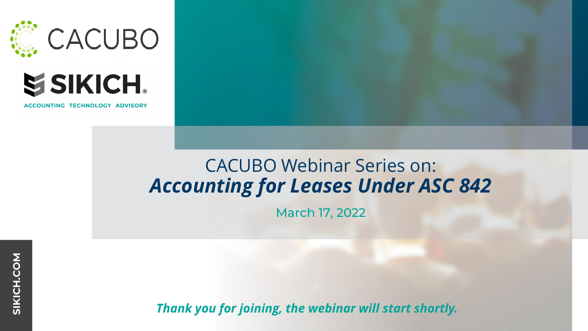



**ACCOUNTING TECHNOLOGY ADVISORY** 

## CACUBO Webinar Series on: *Accounting for Leases Under ASC 842*

March 17, 2022

*Thank you for joining, the webinar will start shortly.*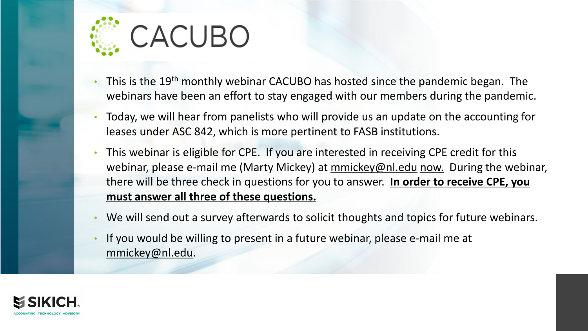

- This is the 19<sup>th</sup> monthly webinar CACUBO has hosted since the pandemic began. The webinars have been an effort to stay engaged with our members during the pandemic.
- Today, we will hear from panelists who will provide us an update on the accounting for leases under ASC 842, which is more pertinent to FASB institutions.
- This webinar is eligible for CPE. If you are interested in receiving CPE credit for this webinar, please e-mail me (Marty Mickey) at [mmickey@nl.edu](mailto:mmickey@nl.edu) now. During the webinar, there will be three check in questions for you to answer. **In order to receive CPE, you must answer all three of these questions.**
- We will send out a survey afterwards to solicit thoughts and topics for future webinars.
- If you would be willing to present in a future webinar, please e-mail me at [mmickey@nl.edu](mailto:mmickey@nl.edu).

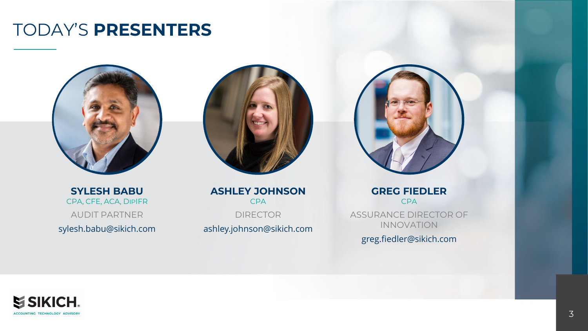#### TODAY'S **PRESENTERS**



**SYLESH BABU** CPA, CFE, ACA, DIPIFR AUDIT PARTNER sylesh.babu@sikich.com



**ASHLEY JOHNSON** CPA DIRECTOR ashley.johnson@sikich.com



**GREG FIEDLER** CPA ASSURANCE DIRECTOR OF INNOVATION

greg.fiedler@sikich.com

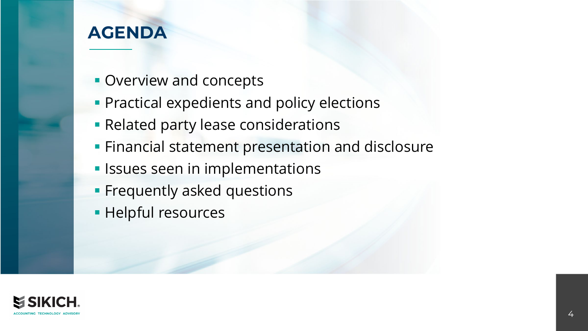#### **AGENDA**

- **Overview and concepts**
- **Practical expedients and policy elections**
- **Related party lease considerations**
- **Financial statement presentation and disclosure**
- **In Issues seen in implementations**
- **Frequently asked questions**
- **Helpful resources**

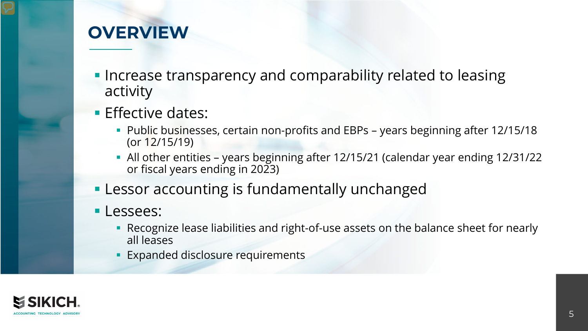#### **OVERVIEW**

- **Increase transparency and comparability related to leasing** activity
- **Effective dates:** 
	- Public businesses, certain non-profits and EBPs years beginning after 12/15/18 (or 12/15/19)
	- All other entities years beginning after 12/15/21 (calendar year ending 12/31/22 or fiscal years ending in 2023)
- **Lessor accounting is fundamentally unchanged**
- **Lessees:** 
	- Recognize lease liabilities and right-of-use assets on the balance sheet for nearly all leases
	- **Expanded disclosure requirements**

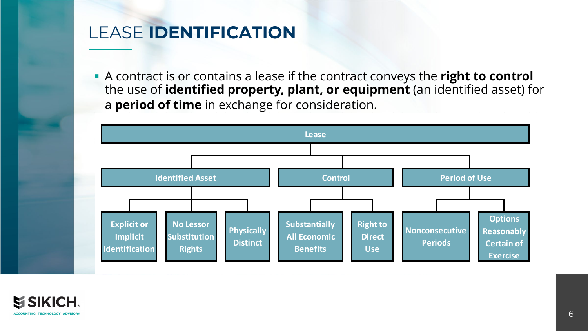## LEASE **IDENTIFICATION**

 A contract is or contains a lease if the contract conveys the **right to control**  the use of **identified property, plant, or equipment** (an identified asset) for a **period of time** in exchange for consideration.



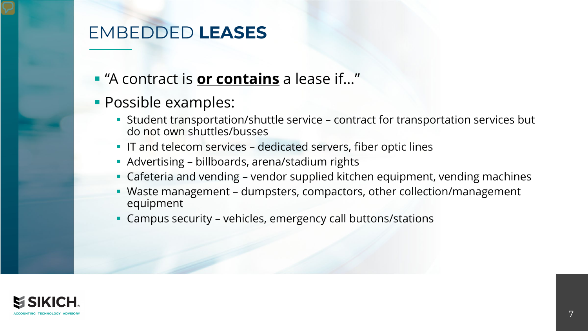### EMBEDDED **LEASES**

- "A contract is **or contains** a lease if…"
- **Possible examples:** 
	- Student transportation/shuttle service contract for transportation services but do not own shuttles/busses
	- **IF and telecom services dedicated servers, fiber optic lines**
	- Advertising billboards, arena/stadium rights
	- Cafeteria and vending vendor supplied kitchen equipment, vending machines
	- Waste management dumpsters, compactors, other collection/management equipment
	- Campus security vehicles, emergency call buttons/stations

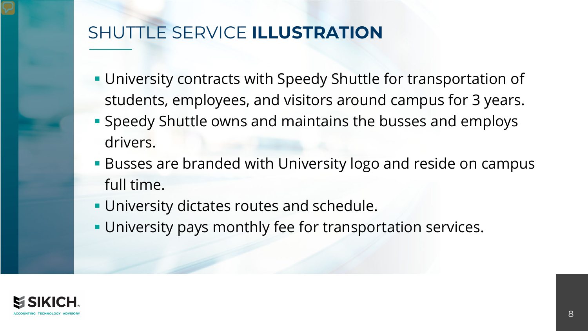## SHUTTLE SERVICE **ILLUSTRATION**

- **University contracts with Speedy Shuttle for transportation of** students, employees, and visitors around campus for 3 years.
- Speedy Shuttle owns and maintains the busses and employs drivers.
- **Busses are branded with University logo and reside on campus** full time.
- **University dictates routes and schedule.**
- **University pays monthly fee for transportation services.**

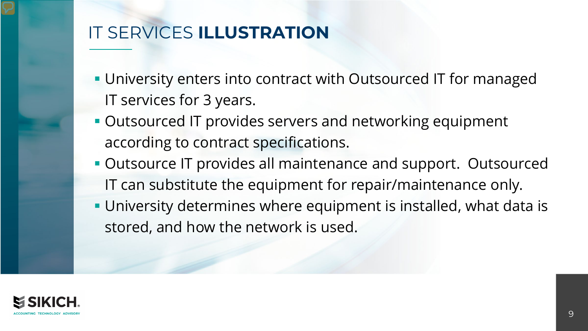## IT SERVICES **ILLUSTRATION**

- **University enters into contract with Outsourced IT for managed** IT services for 3 years.
- **Outsourced IT provides servers and networking equipment** according to contract specifications.
- **Outsource IT provides all maintenance and support. Outsourced** IT can substitute the equipment for repair/maintenance only.
- University determines where equipment is installed, what data is stored, and how the network is used.

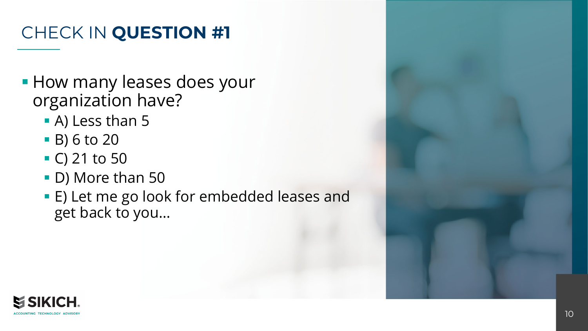## CHECK IN **QUESTION #1**

- **How many leases does your** organization have?
	- A) Less than 5
	- B) 6 to 20
	- $\bullet$  C) 21 to 50
	- D) More than 50
	- E) Let me go look for embedded leases and get back to you…

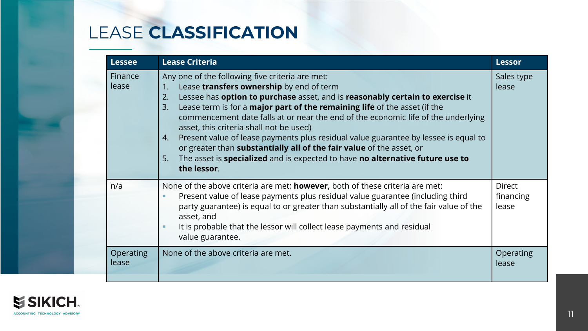## LEASE **CLASSIFICATION**

| <b>Lessee</b>      | <b>Lease Criteria</b><br><b>Lessor</b>                                                                                                                                                                                                                                                                                                                                                                                                                                                                                                                                                                                                                                                        |                              |  |  |
|--------------------|-----------------------------------------------------------------------------------------------------------------------------------------------------------------------------------------------------------------------------------------------------------------------------------------------------------------------------------------------------------------------------------------------------------------------------------------------------------------------------------------------------------------------------------------------------------------------------------------------------------------------------------------------------------------------------------------------|------------------------------|--|--|
| Finance<br>lease   | Any one of the following five criteria are met:<br>Lease transfers ownership by end of term<br>1.<br>Lessee has option to purchase asset, and is reasonably certain to exercise it<br>2.<br>Lease term is for a <b>major part of the remaining life</b> of the asset (if the<br>3.<br>commencement date falls at or near the end of the economic life of the underlying<br>asset, this criteria shall not be used)<br>Present value of lease payments plus residual value guarantee by lessee is equal to<br>4.<br>or greater than substantially all of the fair value of the asset, or<br>The asset is specialized and is expected to have no alternative future use to<br>5.<br>the lessor. | Sales type<br>lease          |  |  |
| n/a                | None of the above criteria are met; <b>however</b> , both of these criteria are met:<br>Present value of lease payments plus residual value guarantee (including third<br>party guarantee) is equal to or greater than substantially all of the fair value of the<br>asset, and<br>It is probable that the lessor will collect lease payments and residual<br>value guarantee.                                                                                                                                                                                                                                                                                                                | Direct<br>financing<br>lease |  |  |
| Operating<br>lease | None of the above criteria are met.                                                                                                                                                                                                                                                                                                                                                                                                                                                                                                                                                                                                                                                           | Operating<br>lease           |  |  |

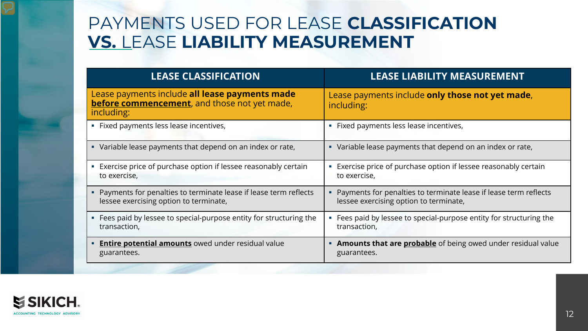#### PAYMENTS USED FOR LEASE **CLASSIFICATION VS.** LEASE **LIABILITY MEASUREMENT**

| <b>LEASE CLASSIFICATION</b>                                                                                          | <b>LEASE LIABILITY MEASUREMENT</b>                                                                         |
|----------------------------------------------------------------------------------------------------------------------|------------------------------------------------------------------------------------------------------------|
| Lease payments include all lease payments made<br><b>before commencement</b> , and those not yet made,<br>including: | Lease payments include only those not yet made,<br>including:                                              |
| Fixed payments less lease incentives,<br>ш                                                                           | • Fixed payments less lease incentives,                                                                    |
| • Variable lease payments that depend on an index or rate,                                                           | • Variable lease payments that depend on an index or rate,                                                 |
| Exercise price of purchase option if lessee reasonably certain<br>L.<br>to exercise,                                 | Exercise price of purchase option if lessee reasonably certain<br>to exercise,                             |
| Payments for penalties to terminate lease if lease term reflects<br>lessee exercising option to terminate,           | Payments for penalties to terminate lease if lease term reflects<br>lessee exercising option to terminate, |
| Fees paid by lessee to special-purpose entity for structuring the<br>transaction,                                    | Fees paid by lessee to special-purpose entity for structuring the<br>transaction,                          |
| <b>Entire potential amounts</b> owed under residual value<br>٠<br>guarantees.                                        | <b>Amounts that are probable</b> of being owed under residual value<br>guarantees.                         |

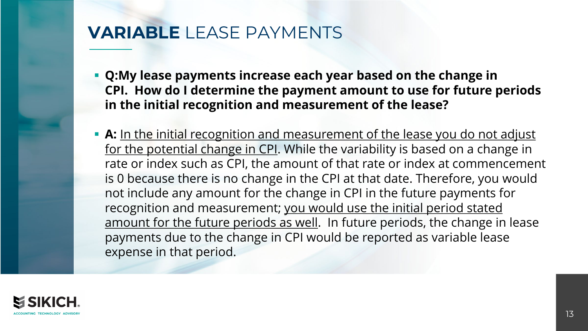#### **VARIABLE** LEASE PAYMENTS

- **Q:My lease payments increase each year based on the change in CPI. How do I determine the payment amount to use for future periods in the initial recognition and measurement of the lease?**
- **A:** In the initial recognition and measurement of the lease you do not adjust for the potential change in CPI. While the variability is based on a change in rate or index such as CPI, the amount of that rate or index at commencement is 0 because there is no change in the CPI at that date. Therefore, you would not include any amount for the change in CPI in the future payments for recognition and measurement; you would use the initial period stated amount for the future periods as well. In future periods, the change in lease payments due to the change in CPI would be reported as variable lease expense in that period.

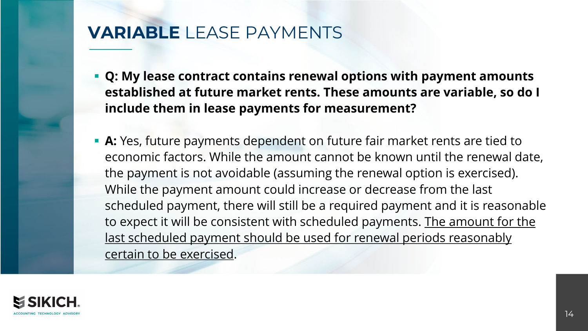#### **VARIABLE** LEASE PAYMENTS

- **Q: My lease contract contains renewal options with payment amounts established at future market rents. These amounts are variable, so do I include them in lease payments for measurement?**
- **A:** Yes, future payments dependent on future fair market rents are tied to economic factors. While the amount cannot be known until the renewal date, the payment is not avoidable (assuming the renewal option is exercised). While the payment amount could increase or decrease from the last scheduled payment, there will still be a required payment and it is reasonable to expect it will be consistent with scheduled payments. The amount for the last scheduled payment should be used for renewal periods reasonably certain to be exercised.

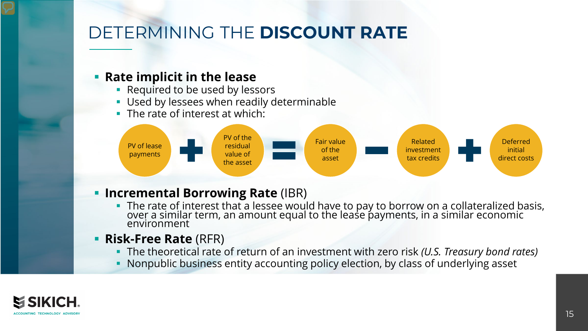## DETERMINING THE **DISCOUNT RATE**

#### **Rate implicit in the lease**

- **Required to be used by lessors**
- **Used by lessees when readily determinable**
- The rate of interest at which:



#### **Incremental Borrowing Rate (IBR)**

- The rate of interest that a lessee would have to pay to borrow on a collateralized basis, over a similar term, an amount equal to the lease payments, in a similar economic environment
- **Risk-Free Rate** (RFR)
	- The theoretical rate of return of an investment with zero risk *(U.S. Treasury bond rates)*
	- Nonpublic business entity accounting policy election, by class of underlying asset

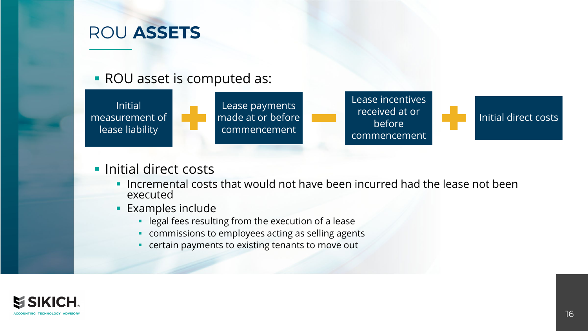#### ROU **ASSETS**

#### ROU asset is computed as:



#### **Initial direct costs**

- Incremental costs that would not have been incurred had the lease not been executed
- **Examples include** 
	- **-** legal fees resulting from the execution of a lease
	- commissions to employees acting as selling agents
	- **•** certain payments to existing tenants to move out

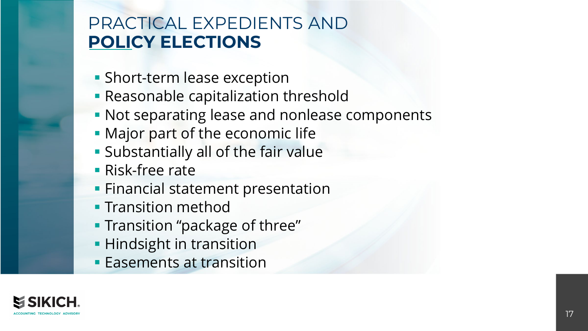#### PRACTICAL EXPEDIENTS AND **POLICY ELECTIONS**

- **Short-term lease exception**
- **Reasonable capitalization threshold**
- **Not separating lease and nonlease components**
- **Major part of the economic life**
- **Substantially all of the fair value**
- Risk-free rate
- **Financial statement presentation**
- **Transition method**
- **Transition "package of three"**
- **Hindsight in transition**
- **Easements at transition**

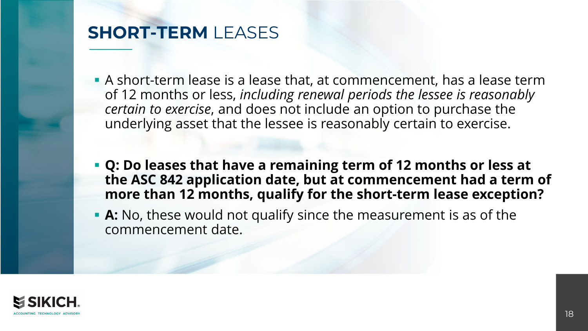#### **SHORT-TERM** LEASES

- A short-term lease is a lease that, at commencement, has a lease term of 12 months or less, *including renewal periods the lessee is reasonably certain to exercise*, and does not include an option to purchase the underlying asset that the lessee is reasonably certain to exercise.
- **Q: Do leases that have a remaining term of 12 months or less at the ASC 842 application date, but at commencement had a term of more than 12 months, qualify for the short-term lease exception?**
- **A:** No, these would not qualify since the measurement is as of the commencement date.

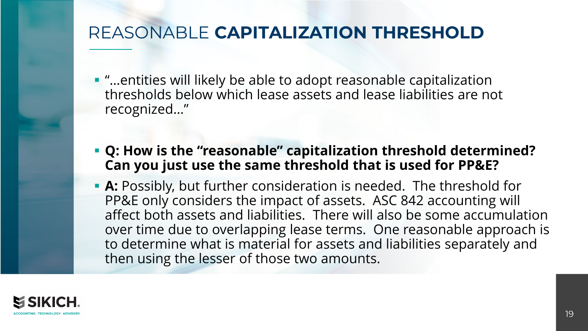### REASONABLE **CAPITALIZATION THRESHOLD**

- "…entities will likely be able to adopt reasonable capitalization thresholds below which lease assets and lease liabilities are not recognized…"
- **Q: How is the "reasonable" capitalization threshold determined? Can you just use the same threshold that is used for PP&E?**
- **A:** Possibly, but further consideration is needed. The threshold for PP&E only considers the impact of assets. ASC 842 accounting will affect both assets and liabilities. There will also be some accumulation over time due to overlapping lease terms. One reasonable approach is to determine what is material for assets and liabilities separately and then using the lesser of those two amounts.

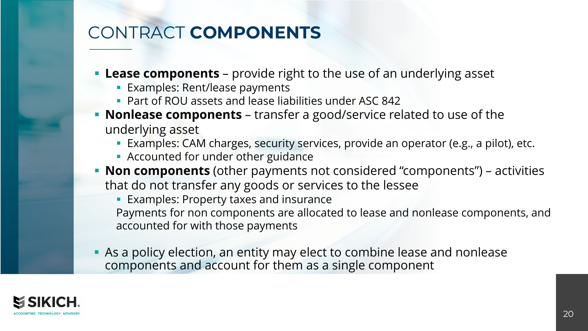## CONTRACT **COMPONENTS**

- **Lease components** provide right to the use of an underlying asset
	- **Examples: Rent/lease payments**
	- **Part of ROU assets and lease liabilities under ASC 842**
- **Nonlease components**  transfer a good/service related to use of the underlying asset
	- Examples: CAM charges, security services, provide an operator (e.g., a pilot), etc.
	- **Accounted for under other guidance**
- **Non components** (other payments not considered "components") activities that do not transfer any goods or services to the lessee
	- **Examples: Property taxes and insurance** Payments for non components are allocated to lease and nonlease components, and accounted for with those payments
- As a policy election, an entity may elect to combine lease and nonlease components and account for them as a single component

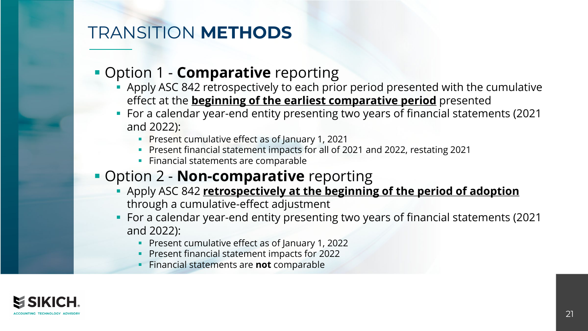## TRANSITION **METHODS**

#### **• Option 1 - Comparative** reporting

- Apply ASC 842 retrospectively to each prior period presented with the cumulative effect at the **beginning of the earliest comparative period** presented
- For a calendar year-end entity presenting two years of financial statements (2021 and 2022):
	- **Present cumulative effect as of January 1, 2021**
	- Present financial statement impacts for all of 2021 and 2022, restating 2021
	- **Financial statements are comparable**

#### **• Option 2 - Non-comparative** reporting

- Apply ASC 842 **retrospectively at the beginning of the period of adoption** through a cumulative-effect adjustment
- For a calendar year-end entity presenting two years of financial statements (2021 and 2022):
	- **Present cumulative effect as of January 1, 2022**
	- **Present financial statement impacts for 2022**
	- Financial statements are **not** comparable

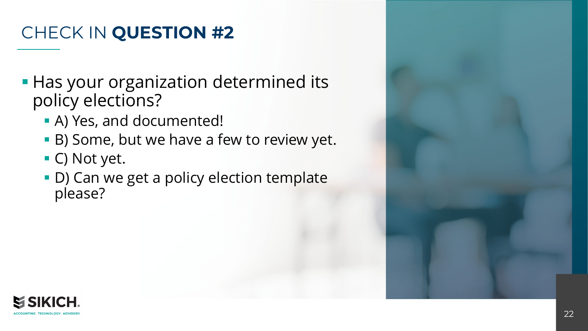## CHECK IN **QUESTION #2**

- **Has your organization determined its** policy elections?
	- A) Yes, and documented!
	- B) Some, but we have a few to review yet.
	- C) Not yet.
	- D) Can we get a policy election template please?

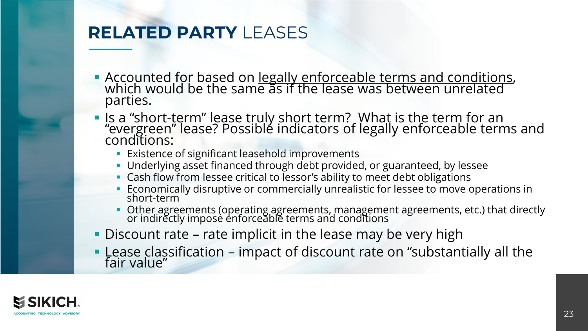### **RELATED PARTY** LEASES

- Accounted for based on legally enforceable terms and conditions, which would be the same as if the lease was between unrelated parties.
- Is a "short-term" lease truly short term? What is the term for an "evergreen" lease? Possible indicators of legally enforceable terms and conditions:
	- **Existence of significant leasehold improvements**
	- Underlying asset financed through debt provided, or guaranteed, by lessee
	- **Cash flow from lessee critical to lessor's ability to meet debt obligations**
	- Economically disruptive or commercially unrealistic for lessee to move operations in short-term
	- **D** Other agreements (operating agreements, management agreements, etc.) that directly or indirectly imposè enforceable terms and conditions
- Discount rate rate implicit in the lease may be very high
- Lease classification impact of discount rate on "substantially all the fair value"

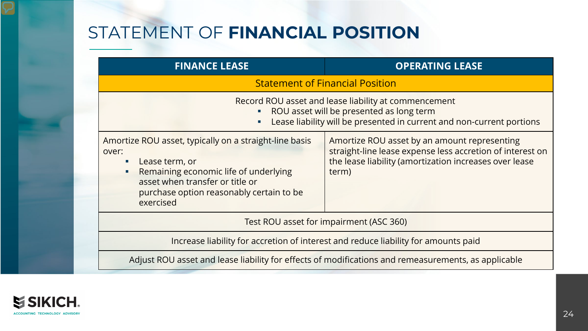## STATEMENT OF **FINANCIAL POSITION**

| <b>FINANCE LEASE</b>                                                                                                                                                                                                             | <b>OPERATING LEASE</b>                                                                                                                                                       |  |  |  |
|----------------------------------------------------------------------------------------------------------------------------------------------------------------------------------------------------------------------------------|------------------------------------------------------------------------------------------------------------------------------------------------------------------------------|--|--|--|
| <b>Statement of Financial Position</b>                                                                                                                                                                                           |                                                                                                                                                                              |  |  |  |
| $\blacksquare$                                                                                                                                                                                                                   | Record ROU asset and lease liability at commencement<br>ROU asset will be presented as long term<br>Lease liability will be presented in current and non-current portions    |  |  |  |
| Amortize ROU asset, typically on a straight-line basis<br>over:<br>Lease term, or<br>п<br>Remaining economic life of underlying<br>٠<br>asset when transfer or title or<br>purchase option reasonably certain to be<br>exercised | Amortize ROU asset by an amount representing<br>straight-line lease expense less accretion of interest on<br>the lease liability (amortization increases over lease<br>term) |  |  |  |
|                                                                                                                                                                                                                                  | Test ROU asset for impairment (ASC 360)                                                                                                                                      |  |  |  |
|                                                                                                                                                                                                                                  | Increase liability for accretion of interest and reduce liability for amounts paid                                                                                           |  |  |  |
| Adjust ROU asset and lease liability for effects of modifications and remeasurements, as applicable                                                                                                                              |                                                                                                                                                                              |  |  |  |

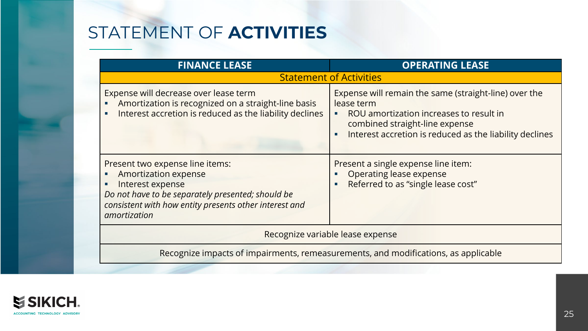## STATEMENT OF **ACTIVITIES**

| <b>FINANCE LEASE</b>                                                                                                                                                                                              | <b>OPERATING LEASE</b>                                                                                                                                                                                                 |  |  |  |
|-------------------------------------------------------------------------------------------------------------------------------------------------------------------------------------------------------------------|------------------------------------------------------------------------------------------------------------------------------------------------------------------------------------------------------------------------|--|--|--|
|                                                                                                                                                                                                                   | <b>Statement of Activities</b>                                                                                                                                                                                         |  |  |  |
| Expense will decrease over lease term<br>Amortization is recognized on a straight-line basis<br>Interest accretion is reduced as the liability declines                                                           | Expense will remain the same (straight-line) over the<br>lease term<br>ROU amortization increases to result in<br>n,<br>combined straight-line expense<br>Interest accretion is reduced as the liability declines<br>П |  |  |  |
| Present two expense line items:<br><b>Amortization expense</b><br>Interest expense<br>Do not have to be separately presented; should be<br>consistent with how entity presents other interest and<br>amortization | Present a single expense line item:<br>Operating lease expense<br>Referred to as "single lease cost"<br>г                                                                                                              |  |  |  |
| Recognize variable lease expense                                                                                                                                                                                  |                                                                                                                                                                                                                        |  |  |  |
| Recognize impacts of impairments, remeasurements, and modifications, as applicable                                                                                                                                |                                                                                                                                                                                                                        |  |  |  |

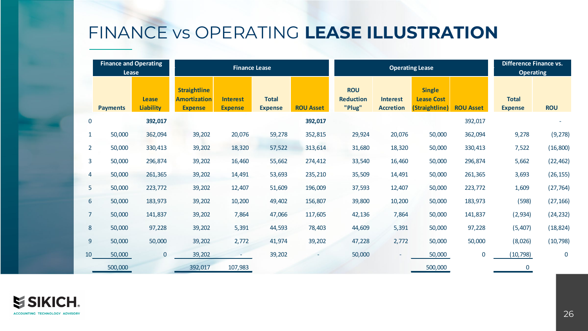## FINANCE vs OPERATING **LEASE ILLUSTRATION**

|                | <b>Finance and Operating</b> |                                  | <b>Finance Lease</b>                                         |                                   |                                | <b>Operating Lease</b> |                                          |                                     |                                                      | <b>Difference Finance vs.</b> |                                |             |
|----------------|------------------------------|----------------------------------|--------------------------------------------------------------|-----------------------------------|--------------------------------|------------------------|------------------------------------------|-------------------------------------|------------------------------------------------------|-------------------------------|--------------------------------|-------------|
|                | Lease                        |                                  |                                                              |                                   |                                |                        |                                          |                                     |                                                      |                               | <b>Operating</b>               |             |
|                | <b>Payments</b>              | <b>Lease</b><br><b>Liability</b> | <b>Straightline</b><br><b>Amortization</b><br><b>Expense</b> | <b>Interest</b><br><b>Expense</b> | <b>Total</b><br><b>Expense</b> | <b>ROU Asset</b>       | <b>ROU</b><br><b>Reduction</b><br>"Plug" | <b>Interest</b><br><b>Accretion</b> | <b>Single</b><br><b>Lease Cost</b><br>(Straightline) | <b>ROU Asset</b>              | <b>Total</b><br><b>Expense</b> | <b>ROU</b>  |
| $\pmb{0}$      |                              | 392,017                          |                                                              |                                   |                                | 392,017                |                                          |                                     |                                                      | 392,017                       |                                |             |
| $\mathbf{1}$   | 50,000                       | 362,094                          | 39,202                                                       | 20,076                            | 59,278                         | 352,815                | 29,924                                   | 20,076                              | 50,000                                               | 362,094                       | 9,278                          | (9, 278)    |
| $\overline{2}$ | 50,000                       | 330,413                          | 39,202                                                       | 18,320                            | 57,522                         | 313,614                | 31,680                                   | 18,320                              | 50,000                                               | 330,413                       | 7,522                          | (16, 800)   |
| 3              | 50,000                       | 296,874                          | 39,202                                                       | 16,460                            | 55,662                         | 274,412                | 33,540                                   | 16,460                              | 50,000                                               | 296,874                       | 5,662                          | (22, 462)   |
| 4              | 50,000                       | 261,365                          | 39,202                                                       | 14,491                            | 53,693                         | 235,210                | 35,509                                   | 14,491                              | 50,000                                               | 261,365                       | 3,693                          | (26, 155)   |
| 5              | 50,000                       | 223,772                          | 39,202                                                       | 12,407                            | 51,609                         | 196,009                | 37,593                                   | 12,407                              | 50,000                                               | 223,772                       | 1,609                          | (27, 764)   |
| 6              | 50,000                       | 183,973                          | 39,202                                                       | 10,200                            | 49,402                         | 156,807                | 39,800                                   | 10,200                              | 50,000                                               | 183,973                       | (598)                          | (27, 166)   |
| $\overline{7}$ | 50,000                       | 141,837                          | 39,202                                                       | 7,864                             | 47,066                         | 117,605                | 42,136                                   | 7,864                               | 50,000                                               | 141,837                       | (2,934)                        | (24, 232)   |
| $\bf 8$        | 50,000                       | 97,228                           | 39,202                                                       | 5,391                             | 44,593                         | 78,403                 | 44,609                                   | 5,391                               | 50,000                                               | 97,228                        | (5,407)                        | (18, 824)   |
| 9              | 50,000                       | 50,000                           | 39,202                                                       | 2,772                             | 41,974                         | 39,202                 | 47,228                                   | 2,772                               | 50,000                                               | 50,000                        | (8,026)                        | (10, 798)   |
| 10             | 50,000                       | $\pmb{0}$                        | 39,202                                                       |                                   | 39,202                         |                        | 50,000                                   |                                     | 50,000                                               | $\mathbf 0$                   | (10, 798)                      | $\mathbf 0$ |
|                | 500,000                      |                                  | 392,017                                                      | 107,983                           |                                |                        |                                          |                                     | 500,000                                              |                               | 0                              |             |

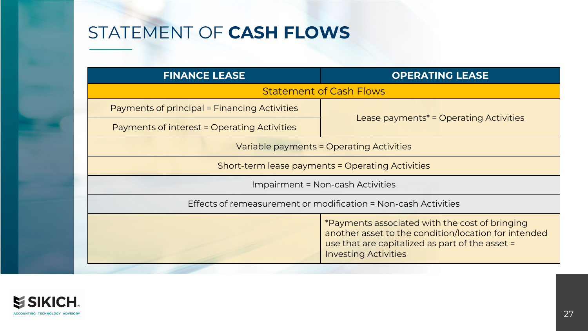## STATEMENT OF **CASH FLOWS**

| <b>FINANCE LEASE</b>                         | <b>OPERATING LEASE</b>                                                                                                                                                                   |  |  |  |  |  |
|----------------------------------------------|------------------------------------------------------------------------------------------------------------------------------------------------------------------------------------------|--|--|--|--|--|
|                                              | <b>Statement of Cash Flows</b>                                                                                                                                                           |  |  |  |  |  |
| Payments of principal = Financing Activities |                                                                                                                                                                                          |  |  |  |  |  |
| Payments of interest = Operating Activities  | Lease payments <sup>*</sup> = Operating Activities                                                                                                                                       |  |  |  |  |  |
|                                              | Variable payments = Operating Activities                                                                                                                                                 |  |  |  |  |  |
|                                              | Short-term lease payments = Operating Activities                                                                                                                                         |  |  |  |  |  |
|                                              | <b>Impairment = Non-cash Activities</b>                                                                                                                                                  |  |  |  |  |  |
|                                              | Effects of remeasurement or modification = Non-cash Activities                                                                                                                           |  |  |  |  |  |
|                                              | *Payments associated with the cost of bringing<br>another asset to the condition/location for intended<br>use that are capitalized as part of the asset =<br><b>Investing Activities</b> |  |  |  |  |  |

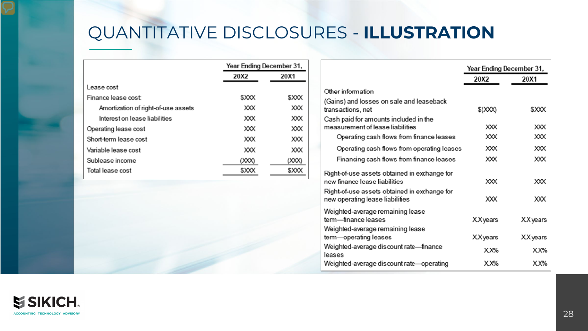## QUANTITATIVE DISCLOSURES - **ILLUSTRATION**

|                                     |       | Year Ending December 31, |  |  |
|-------------------------------------|-------|--------------------------|--|--|
|                                     | 20X2  | 20X1                     |  |  |
| Lease cost                          |       |                          |  |  |
| Finance lease cost                  | \$XXX | \$XXX                    |  |  |
| Amortization of right-of-use assets | XΧ    | XΧX                      |  |  |
| Interest on lease liabilities       | ХΧХ   | XXX                      |  |  |
| Operating lease cost                | ХΧХ   | ХΧХ                      |  |  |
| Short-term lease cost               | ХΧХ   | XΧ                       |  |  |
| Variable lease cost                 | ХΧХ   | ХΧХ                      |  |  |
| Sublease income                     | (XXX) | (XXX)                    |  |  |
| Total lease cost                    | \$XXX | \$XXX                    |  |  |

|                                                                                                                               | Year Ending December 31, |                 |  |  |
|-------------------------------------------------------------------------------------------------------------------------------|--------------------------|-----------------|--|--|
|                                                                                                                               | 20X2                     | 20X1            |  |  |
| Other information                                                                                                             |                          |                 |  |  |
| (Gains) and losses on sale and leaseback<br>transactions, net                                                                 | \$ (XXX)                 | <b>SXXX</b>     |  |  |
| Cash paid for amounts included in the<br>measurement of lease liabilities                                                     | <b>XXX</b>               | XXX             |  |  |
| Operating cash flows from finance leases                                                                                      | XX                       | XXX             |  |  |
| Operating cash flows from operating leases                                                                                    | XΧX                      | XXX             |  |  |
| Financing cash flows from finance leases                                                                                      | XX                       | хχ              |  |  |
| Right-of-use assets obtained in exchange for<br>new finance lease liabilities<br>Right-of-use assets obtained in exchange for | XXX                      | XXX             |  |  |
| new operating lease liabilities                                                                                               | ХΧХ                      | xxх             |  |  |
| Weighted-average remaining lease<br>term-finance leases<br>Weighted-average remaining lease                                   | <b>XX</b> years          | <b>XX</b> years |  |  |
| term—operating leases                                                                                                         | <b>XX</b> years          | <b>XX</b> years |  |  |
| Weighted-average discount rate-finance<br>leases                                                                              | XX%                      | XX%             |  |  |
| Weighted-average discount rate—operating                                                                                      | $X X\%$                  | $X X\%$         |  |  |
|                                                                                                                               |                          |                 |  |  |

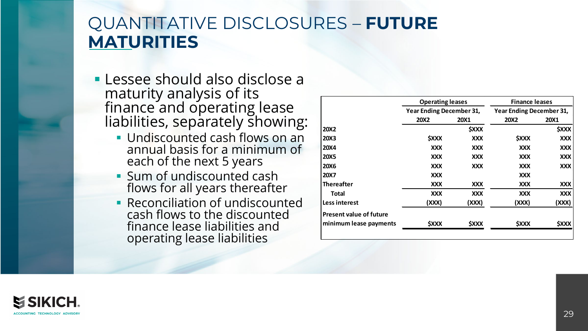#### QUANTITATIVE DISCLOSURES – **FUTURE MATURITIES**

- Lessee should also disclose a maturity analysis of its finance and operating lease liabilities, separately showing:
	- **Undiscounted cash flows on an** annual basis for a minimum of each of the next 5 years
	- **Sum of undiscounted cash** flows for all years thereafter
	- **Reconciliation of undiscounted** cash flows to the discounted finance lease liabilities and operating lease liabilities

|                                | <b>Operating leases</b>         |                           | <b>Finance leases</b>           |                           |  |
|--------------------------------|---------------------------------|---------------------------|---------------------------------|---------------------------|--|
|                                | <b>Year Ending December 31,</b> |                           | <b>Year Ending December 31,</b> |                           |  |
|                                | <b>20X2</b>                     | <b>20X1</b>               | <b>20X2</b>                     | <b>20X1</b>               |  |
| <b>20X2</b>                    |                                 | <b><i><u>SXXX</u></i></b> |                                 | <b><i><u>SXXX</u></i></b> |  |
| <b>20X3</b>                    | <b><i>SXXX</i></b>              | XXX                       | <b><i>SXXX</i></b>              | <b>XXX</b>                |  |
| <b>20X4</b>                    | <b>XXX</b>                      | <b>XXX</b>                | <b>XXX</b>                      | <b>XXX</b>                |  |
| <b>20X5</b>                    | XXX                             | XXX                       | XXX                             | XXX                       |  |
| <b>20X6</b>                    | XXX                             | <b>XXX</b>                | <b>XXX</b>                      | <b>XXX</b>                |  |
| <b>20X7</b>                    | XXX                             |                           | <b>XXX</b>                      |                           |  |
| <b>Thereafter</b>              | XXX                             | XXX                       | XXX                             | XXX                       |  |
| Total                          | <b>XXX</b>                      | <b>XXX</b>                | <b>XXX</b>                      | <b>XXX</b>                |  |
| <b>Less interest</b>           | (XXX)                           | (XXX)                     | (XXX)                           | (XXX)                     |  |
| <b>Present value of future</b> |                                 |                           |                                 |                           |  |
| minimum lease payments         | <b><i><u>SXXX</u></i></b>       | <b>SXXX</b>               | <b><i><u>SXXX</u></i></b>       | <b>SXXX</b>               |  |

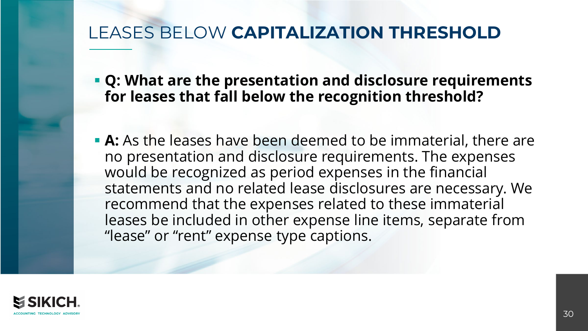### LEASES BELOW **CAPITALIZATION THRESHOLD**

- **Q: What are the presentation and disclosure requirements for leases that fall below the recognition threshold?**
- **A:** As the leases have been deemed to be immaterial, there are no presentation and disclosure requirements. The expenses would be recognized as period expenses in the financial statements and no related lease disclosures are necessary. We recommend that the expenses related to these immaterial leases be included in other expense line items, separate from "lease" or "rent" expense type captions.

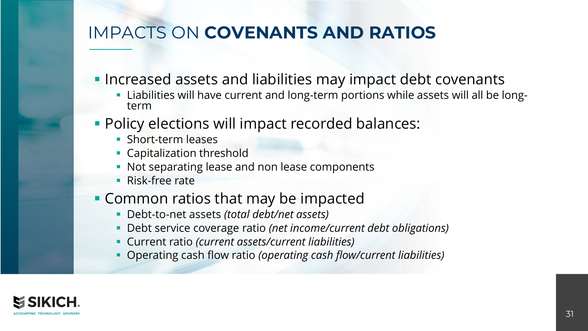## IMPACTS ON **COVENANTS AND RATIOS**

- **Increased assets and liabilities may impact debt covenants** 
	- Liabilities will have current and long-term portions while assets will all be long-<br>term
- **Policy elections will impact recorded balances:** 
	- **Short-term leases**
	- **Capitalization threshold**
	- Not separating lease and non lease components
	- **Risk-free rate**
- **Common ratios that may be impacted** 
	- Debt-to-net assets *(total debt/net assets)*
	- Debt service coverage ratio *(net income/current debt obligations)*
	- Current ratio *(current assets/current liabilities)*
	- Operating cash flow ratio *(operating cash flow/current liabilities)*

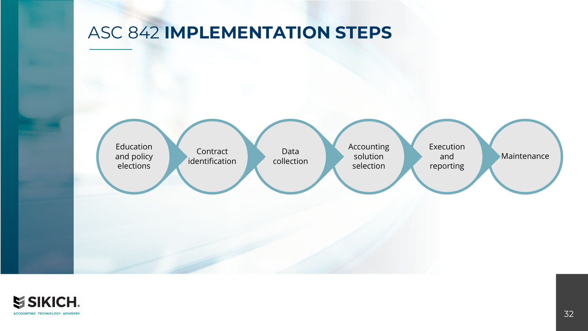#### ASC 842 **IMPLEMENTATION STEPS**



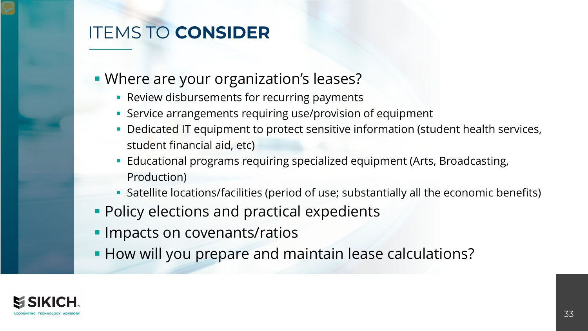## ITEMS TO **CONSIDER**

- **Where are your organization's leases?** 
	- **Review disbursements for recurring payments**
	- **Service arrangements requiring use/provision of equipment**
	- **Dedicated IT equipment to protect sensitive information (student health services,** student financial aid, etc)
	- Educational programs requiring specialized equipment (Arts, Broadcasting, Production)
	- Satellite locations/facilities (period of use; substantially all the economic benefits)
- **Policy elections and practical expedients**
- **Impacts on covenants/ratios**
- **How will you prepare and maintain lease calculations?**

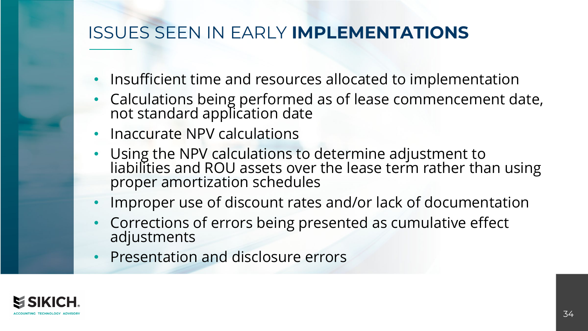### ISSUES SEEN IN EARLY **IMPLEMENTATIONS**

- Insufficient time and resources allocated to implementation
- Calculations being performed as of lease commencement date, not standard application date
- Inaccurate NPV calculations
- Using the NPV calculations to determine adjustment to liabilities and ROU assets over the lease term rather than using proper amortization schedules
- Improper use of discount rates and/or lack of documentation
- Corrections of errors being presented as cumulative effect adjustments
- Presentation and disclosure errors

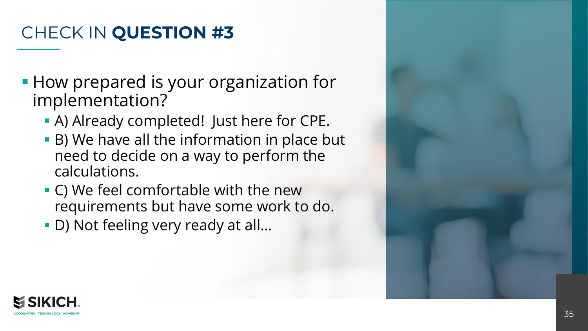## CHECK IN **QUESTION #3**

- **How prepared is your organization for** implementation?
	- A) Already completed! Just here for CPE.
	- B) We have all the information in place but need to decide on a way to perform the calculations.
	- C) We feel comfortable with the new requirements but have some work to do.
	- D) Not feeling very ready at all...

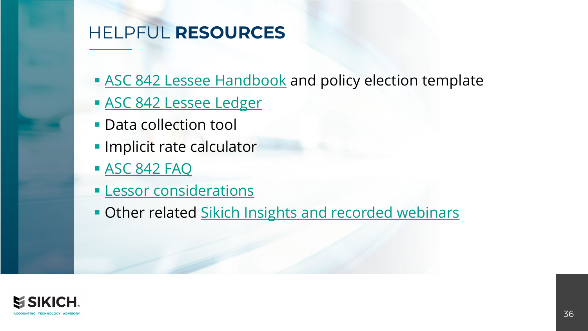## HELPFUL **RESOURCES**

- **[ASC 842 Lessee Handbook](https://www.sikich.com/asc-842-lessee-handbook/) and policy election template**
- **[ASC 842 Lessee Ledger](https://www.youtube.com/watch?v=mb7UwXzzxQI)**
- Data collection tool
- **Implicit rate calculator**
- [ASC 842 FAQ](https://www.sikich.com/insight/faq-new-lease-accounting-standards-asc-842/)
- **[Lessor considerations](https://www.sikich.com/insight/dear-lessors-were-sorry-if-we-made-you-feel-lesser/)**
- **Other related [Sikich Insights and recorded webinars](https://www.sikich.com/category/lease-accounting-standards/)**

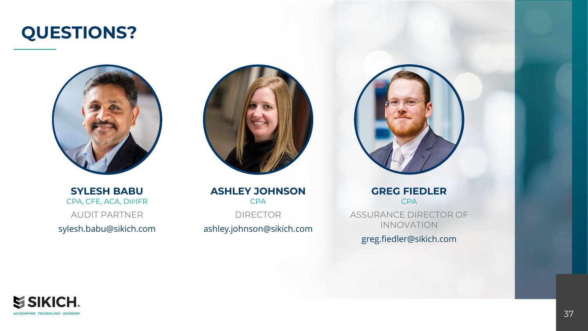## **QUESTIONS?**



**SYLESH BABU** CPA, CFE, ACA, DIPIFR AUDIT PARTNER sylesh.babu@sikich.com



**ASHLEY JOHNSON** CPA DIRECTOR ashley.johnson@sikich.com



**GREG FIEDLER** CPA ASSURANCE DIRECTOR OF INNOVATION greg.fiedler@sikich.com